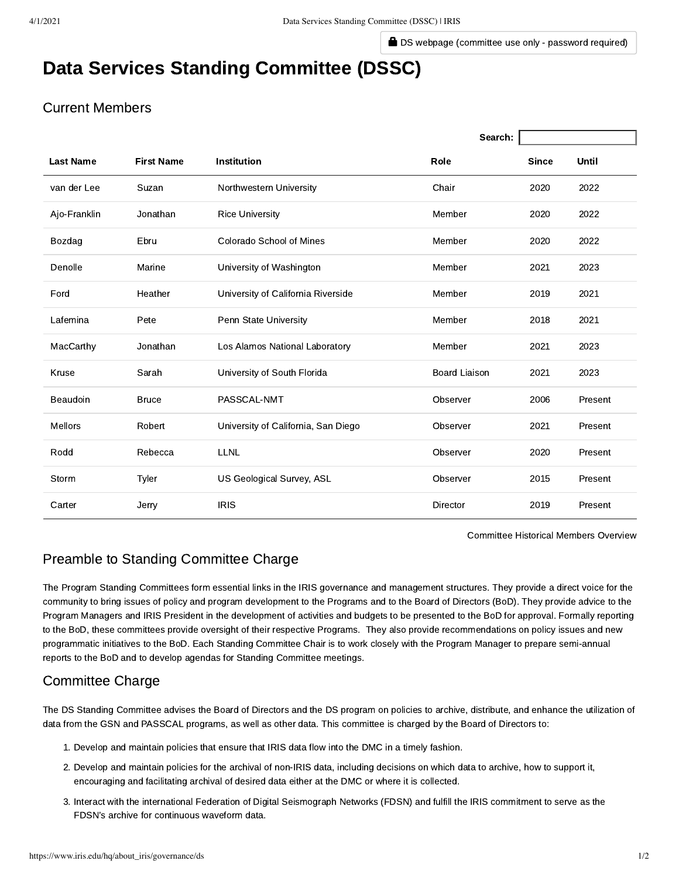**D** [DS webpage \(committee use only - password required\)](http://ds.iris.edu/ds/meetings/dssc/)

# Data Services Standing Committee (DSSC)

# Current Members

|                  |                   |                                     | Search:              |              |         |
|------------------|-------------------|-------------------------------------|----------------------|--------------|---------|
| <b>Last Name</b> | <b>First Name</b> | <b>Institution</b>                  | Role                 | <b>Since</b> | Until   |
| van der Lee      | Suzan             | Northwestern University             | Chair                | 2020         | 2022    |
| Ajo-Franklin     | Jonathan          | <b>Rice University</b>              | Member               | 2020         | 2022    |
| Bozdag           | Ebru              | Colorado School of Mines            | Member               | 2020         | 2022    |
| Denolle          | Marine            | University of Washington            | Member               | 2021         | 2023    |
| Ford             | Heather           | University of California Riverside  | Member               | 2019         | 2021    |
| Lafemina         | Pete              | Penn State University               | Member               | 2018         | 2021    |
| MacCarthy        | Jonathan          | Los Alamos National Laboratory      | Member               | 2021         | 2023    |
| Kruse            | Sarah             | University of South Florida         | <b>Board Liaison</b> | 2021         | 2023    |
| Beaudoin         | <b>Bruce</b>      | PASSCAL-NMT                         | Observer             | 2006         | Present |
| <b>Mellors</b>   | Robert            | University of California, San Diego | Observer             | 2021         | Present |
| Rodd             | Rebecca           | <b>LLNL</b>                         | Observer             | 2020         | Present |
| Storm            | Tyler             | US Geological Survey, ASL           | Observer             | 2015         | Present |
| Carter           | Jerry             | <b>IRIS</b>                         | Director             | 2019         | Present |

[Committee Historical Members Overview](https://www.iris.edu/hq/about_iris/committee/members/ds/any)

# Preamble to Standing Committee Charge

The Program Standing Committees form essential links in the IRIS governance and management structures. They provide a direct voice for the community to bring issues of policy and program development to the Programs and to the Board of Directors (BoD). They provide advice to the Program Managers and IRIS President in the development of activities and budgets to be presented to the BoD for approval. Formally reporting to the BoD, these committees provide oversight of their respective Programs. They also provide recommendations on policy issues and new programmatic initiatives to the BoD. Each Standing Committee Chair is to work closely with the Program Manager to prepare semi-annual reports to the BoD and to develop agendas for Standing Committee meetings.

## Committee Charge

The DS Standing Committee advises the Board of Directors and the DS program on policies to archive, distribute, and enhance the utilization of data from the GSN and PASSCAL programs, as well as other data. This committee is charged by the Board of Directors to:

- 1. Develop and maintain policies that ensure that IRIS data flow into the DMC in a timely fashion.
- 2. Develop and maintain policies for the archival of non-IRIS data, including decisions on which data to archive, how to support it, encouraging and facilitating archival of desired data either at the DMC or where it is collected.
- 3. Interact with the international Federation of Digital Seismograph Networks (FDSN) and fulfill the IRIS commitment to serve as the FDSN's archive for continuous waveform data.